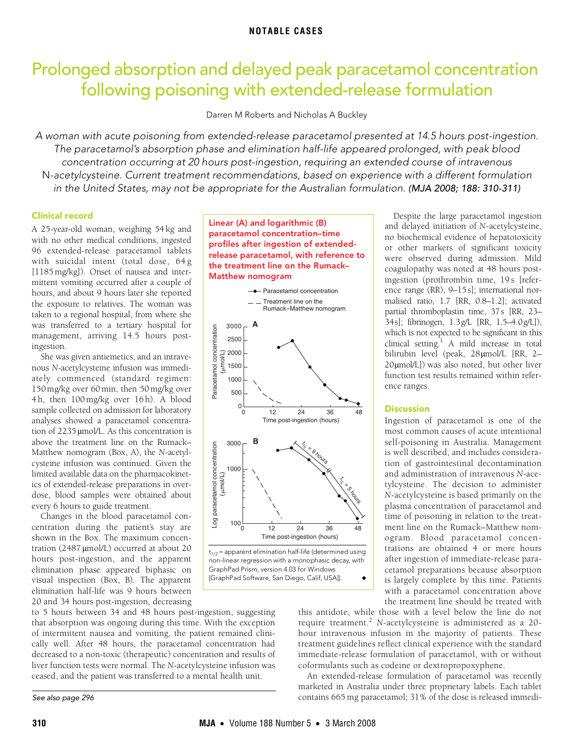# <span id="page-0-0"></span>Prolonged absorption and delayed peak paracetamol concentration following poisoning with extended-release formulation

Darren M Roberts and Nicholas A Buckley

A woman with acute poisoning from extended-release paracetamol presented at 14.5 hours post-ingestion. The paracetamol's absorption phase and elimination half-life appeared prolonged, with peak blood concentration occurring at 20 hours post-ingestion, requiring an extended course of intravenous N-acetylcysteine. Current treatment recommendations, based on experience with a different formulation in the United States, may not be appropriate for the Australian formulation. (MJA 2008; 188: [310](#page-0-0)[-311\)](#page-1-2)

## Clinical record

mittent vomiting occurred after a couple of matem venning eccarred and a coapte of  $\frac{1}{2}$  and about  $\frac{1}{2}$  nours fail site reported the exposure to relatives. The woman was taken to a regional hospital, from where she A 25-year-old woman, weighing 54 kg and with no other medical conditions, ingested 96 extended-release paracetamol tablets with suicidal intent (total dose, 64 g [1185 mg/kg]). Onset of nausea and interwas transferred to a tertiary hospital for management, arriving 14.5 hours postingestion.

She was given antiemetics, and an intravenous *N*-acetylcysteine infusion was immediately commenced (standard regimen: 150mg/kg over 60 min, then 50 mg/kg over 4 h, then 100 mg/kg over 16 h). A blood sample collected on admission for laboratory analyses showed a paracetamol concentration of 2235 μmol/L. As this concentration is above the treatment line on the Rumack– Matthew nomogram (Box, A), the *N*-acetylcysteine infusion was continued. Given the limited available data on the pharmacokinetics of extended-release preparations in overdose, blood samples were obtained about every 6 hours to guide treatment.

Changes in the blood paracetamol concentration during the patient's stay are shown in the Box. The maximum concentration (2487 μmol/L) occurred at about 20 hours post-ingestion, and the apparent elimination phase appeared biphasic on visual inspection (Box, B). The apparent elimination half-life was 9 hours between 20 and 34 hours post-ingestion, decreasing

to 5 hours between 34 and 48 hours post-ingestion, suggesting that absorption was ongoing during this time. With the exception of intermittent nausea and vomiting, the patient remained clinically well. After 48 hours, the paracetamol concentration had decreased to a non-toxic (therapeutic) concentration and results of liver function tests were normal. The *N*-acetylcysteine infusion was ceased, and the patient was transferred to a mental health unit.

Linear (A) and logarithmic (B) paracetamol concentration–time profiles after ingestion of extendedrelease paracetamol, with reference to the treatment line on the Rumack– Matthew nomogram



 $t_{1/2}$  = apparent elimination half-life (determined using non-linear regression with a monophasic decay, with GraphPad Prism, version 4.03 for Windows [GraphPad Software, San Diego, Calif, USA]).

Despite the large paracetamol ingestion and delayed initiation of *N*-acetylcysteine, no biochemical evidence of hepatotoxicity or other markers of significant toxicity were observed during admission. Mild coagulopathy was noted at 48 hours postingestion (prothrombin time, 19 s [reference range (RR), 9–15s]; international normalised ratio, 1.7 [RR, 0.8–1.2]; activated partial thromboplastin time, 37s [RR, 23– 34s]; fibrinogen, 1.3g/L [RR, 1.5–4.0g/L]), which is not expected to be significant in this clinical setting.<sup>[1](#page-1-0)</sup> A mild increase in total bilirubin level (peak, 28μmol/L [RR, 2– 20μmol/L]) was also noted, but other liver function test results remained within reference ranges.

### **Discussion**

Ingestion of paracetamol is one of the most common causes of acute intentional self-poisoning in Australia. Management is well described, and includes consideration of gastrointestinal decontamination and administration of intravenous *N*-acetylcysteine. The decision to administer *N*-acetylcysteine is based primarily on the plasma concentration of paracetamol and time of poisoning in relation to the treatment line on the Rumack–Matthew nomogram. Blood paracetamol concentrations are obtained 4 or more hours after ingestion of immediate-release paracetamol preparations because absorption is largely complete by this time. Patients with a paracetamol concentration above the treatment line should be treated with

this antidote, while those with a level below the line do not require treatment.<sup>[2](#page-1-1)</sup> N-acetylcysteine is administered as a 20hour intravenous infusion in the majority of patients. These treatment guidelines reflect clinical experience with the standard immediate-release formulation of paracetamol, with or without coformulants such as codeine or dextropropoxyphene.

An extended-release formulation of paracetamol was recently marketed in Australia under three proprietary labels. Each tablet contains 665 mg paracetamol; 31% of the dose is released immedi-

See also page 296